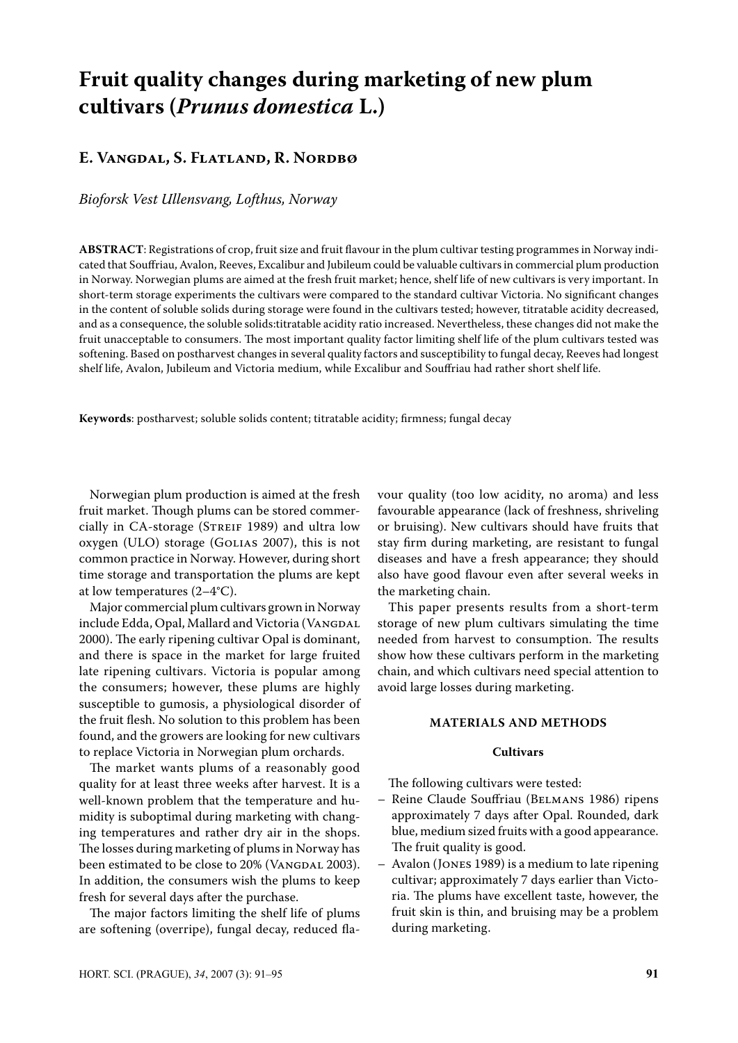# **Fruit quality changes during marketing of new plum cultivars (***Prunus domestica* **L.)**

## **E. Vangdal, S. Flatland, R. Nordbø**

*Bioforsk Vest Ullensvang, Lofthus, Norway*

**ABSTRACT**: Registrations of crop, fruit size and fruit flavour in the plum cultivar testing programmes in Norway indicated that Souffriau, Avalon, Reeves, Excalibur and Jubileum could be valuable cultivars in commercial plum production in Norway. Norwegian plums are aimed at the fresh fruit market; hence, shelf life of new cultivars is very important. In short-term storage experiments the cultivars were compared to the standard cultivar Victoria. No significant changes in the content of soluble solids during storage were found in the cultivars tested; however, titratable acidity decreased, and as a consequence, the soluble solids:titratable acidity ratio increased. Nevertheless, these changes did not make the fruit unacceptable to consumers. The most important quality factor limiting shelf life of the plum cultivars tested was softening. Based on postharvest changes in several quality factors and susceptibility to fungal decay, Reeves had longest shelf life, Avalon, Jubileum and Victoria medium, while Excalibur and Souffriau had rather short shelf life.

**Keywords**: postharvest; soluble solids content; titratable acidity; firmness; fungal decay

Norwegian plum production is aimed at the fresh fruit market. Though plums can be stored commercially in CA-storage (STREIF 1989) and ultra low oxygen (ULO) storage (Golias 2007), this is not common practice in Norway. However, during short time storage and transportation the plums are kept at low temperatures (2–4°C).

Major commercial plum cultivars grown in Norway include Edda, Opal, Mallard and Victoria (VANGDAL 2000). The early ripening cultivar Opal is dominant, and there is space in the market for large fruited late ripening cultivars. Victoria is popular among the consumers; however, these plums are highly susceptible to gumosis, a physiological disorder of the fruit flesh. No solution to this problem has been found, and the growers are looking for new cultivars to replace Victoria in Norwegian plum orchards.

The market wants plums of a reasonably good quality for at least three weeks after harvest. It is a well-known problem that the temperature and humidity is suboptimal during marketing with changing temperatures and rather dry air in the shops. The losses during marketing of plums in Norway has been estimated to be close to 20% (VANGDAL 2003). In addition, the consumers wish the plums to keep fresh for several days after the purchase.

The major factors limiting the shelf life of plums are softening (overripe), fungal decay, reduced flavour quality (too low acidity, no aroma) and less favourable appearance (lack of freshness, shriveling or bruising). New cultivars should have fruits that stay firm during marketing, are resistant to fungal diseases and have a fresh appearance; they should also have good flavour even after several weeks in the marketing chain.

This paper presents results from a short-term storage of new plum cultivars simulating the time needed from harvest to consumption. The results show how these cultivars perform in the marketing chain, and which cultivars need special attention to avoid large losses during marketing.

#### **MATERIALS AND METHODS**

#### **Cultivars**

The following cultivars were tested:

- Reine Claude Souffriau (Belmans 1986) ripens approximately 7 days after Opal. Rounded, dark blue, medium sized fruits with a good appearance. The fruit quality is good.
- Avalon (Jones 1989) is a medium to late ripening cultivar; approximately 7 days earlier than Victoria. The plums have excellent taste, however, the fruit skin is thin, and bruising may be a problem during marketing.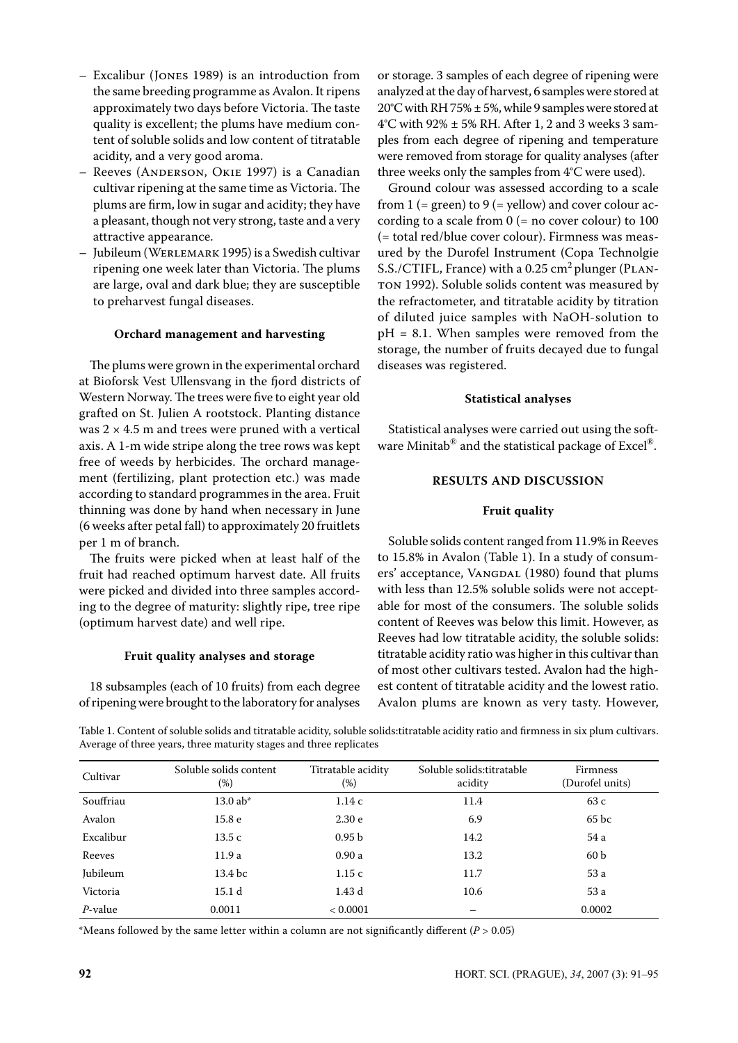- Excalibur (Jones 1989) is an introduction from the same breeding programme as Avalon. It ripens approximately two days before Victoria. The taste quality is excellent; the plums have medium content of soluble solids and low content of titratable acidity, and a very good aroma.
- Reeves (Anderson, Okie 1997) is a Canadian cultivar ripening at the same time as Victoria. The plums are firm, low in sugar and acidity; they have a pleasant, though not very strong, taste and a very attractive appearance.
- Jubileum (Werlemark 1995) is a Swedish cultivar ripening one week later than Victoria. The plums are large, oval and dark blue; they are susceptible to preharvest fungal diseases.

## **Orchard management and harvesting**

The plums were grown in the experimental orchard at Bioforsk Vest Ullensvang in the fjord districts of Western Norway. The trees were five to eight year old grafted on St. Julien A rootstock. Planting distance was  $2 \times 4.5$  m and trees were pruned with a vertical axis. A 1-m wide stripe along the tree rows was kept free of weeds by herbicides. The orchard management (fertilizing, plant protection etc.) was made according to standard programmes in the area. Fruit thinning was done by hand when necessary in June (6 weeks after petal fall) to approximately 20 fruitlets per 1 m of branch.

The fruits were picked when at least half of the fruit had reached optimum harvest date. All fruits were picked and divided into three samples according to the degree of maturity: slightly ripe, tree ripe (optimum harvest date) and well ripe.

#### **Fruit quality analyses and storage**

18 subsamples (each of 10 fruits) from each degree of ripening were brought to the laboratory for analyses

or storage. 3 samples of each degree of ripening were analyzed at the day of harvest, 6 samples were stored at 20°C with RH 75%  $\pm$  5%, while 9 samples were stored at  $4^{\circ}$ C with 92%  $\pm$  5% RH. After 1, 2 and 3 weeks 3 samples from each degree of ripening and temperature were removed from storage for quality analyses (after three weeks only the samples from 4°C were used).

Ground colour was assessed according to a scale from 1 (= green) to 9 (= yellow) and cover colour according to a scale from  $0$  (= no cover colour) to 100 (= total red/blue cover colour). Firmness was measured by the Durofel Instrument (Copa Technolgie S.S./CTIFL, France) with a 0.25 cm<sup>2</sup> plunger (PLANton 1992). Soluble solids content was measured by the refractometer, and titratable acidity by titration of diluted juice samples with NaOH-solution to  $pH = 8.1$ . When samples were removed from the storage, the number of fruits decayed due to fungal diseases was registered.

#### **Statistical analyses**

Statistical analyses were carried out using the software Minitab $^{\circledR}$  and the statistical package of Excel $^{\circledR}$ .

## **RESULTS AND DISCUSSION**

#### **Fruit quality**

Soluble solids content ranged from 11.9% in Reeves to 15.8% in Avalon (Table 1). In a study of consumers' acceptance, VANGDAL (1980) found that plums with less than 12.5% soluble solids were not acceptable for most of the consumers. The soluble solids content of Reeves was below this limit. However, as Reeves had low titratable acidity, the soluble solids: titratable acidity ratio was higher in this cultivar than of most other cultivars tested. Avalon had the highest content of titratable acidity and the lowest ratio. Avalon plums are known as very tasty. However,

Table 1. Content of soluble solids and titratable acidity, soluble solids:titratable acidity ratio and firmness in six plum cultivars. Average of three years, three maturity stages and three replicates

| Cultivar   | Soluble solids content<br>$(\%)$ | Titratable acidity<br>$(\%)$ | Soluble solids:titratable<br>acidity | <b>Firmness</b><br>(Durofel units) |
|------------|----------------------------------|------------------------------|--------------------------------------|------------------------------------|
| Souffriau  | $13.0$ ab*                       | 1.14c                        | 11.4                                 | 63 c                               |
| Avalon     | 15.8 <sub>e</sub>                | 2.30e                        | 6.9                                  | 65 <sub>bc</sub>                   |
| Excalibur  | 13.5c                            | 0.95 <sub>b</sub>            | 14.2                                 | 54 a                               |
| Reeves     | 11.9 a                           | 0.90a                        | 13.2                                 | 60 <sub>b</sub>                    |
| Jubileum   | 13.4 bc                          | 1.15c                        | 11.7                                 | 53 a                               |
| Victoria   | 15.1 d                           | 1.43d                        | 10.6                                 | 53 a                               |
| $P$ -value | 0.0011                           | < 0.0001                     |                                      | 0.0002                             |

\*Means followed by the same letter within a column are not significantly different ( $P > 0.05$ )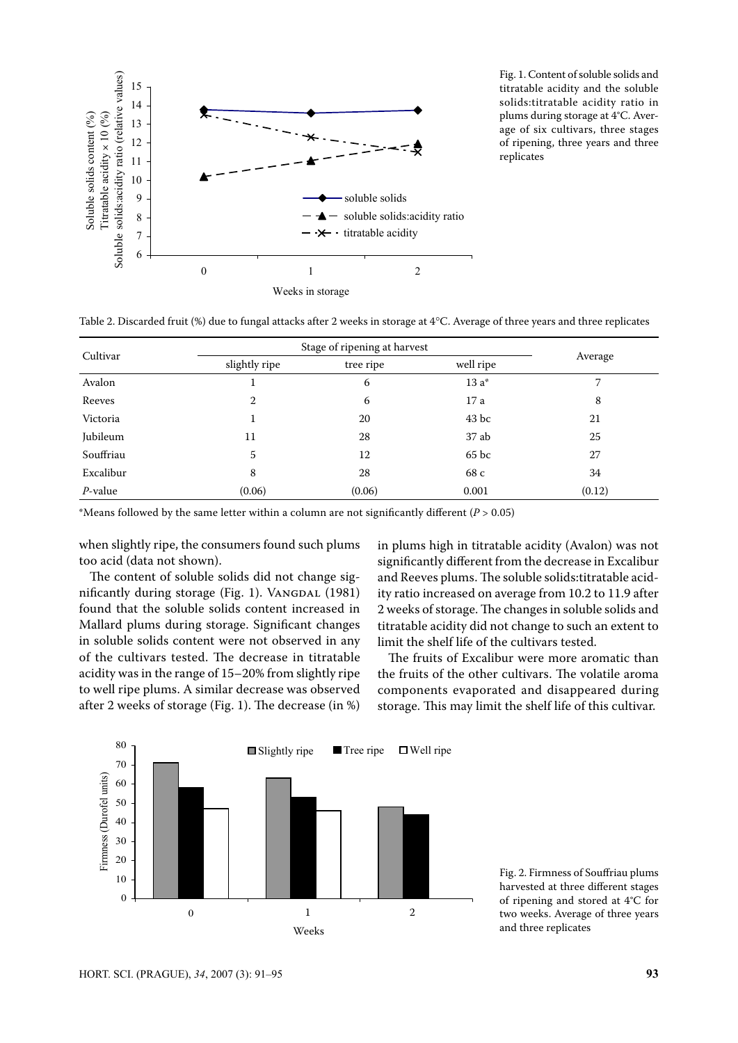

Fig. 1. Content of soluble solids and titratable acidity and the soluble solids:titratable acidity ratio in plums during storage at 4°C. Average of six cultivars, three stages of ripening, three years and three replicates 0 1 2

Table 2. Discarded fruit (%) due to fungal attacks after 2 weeks in storage at 4°C. Average of three years and three replicates

| Cultivar   | Stage of ripening at harvest |           |           |         |  |
|------------|------------------------------|-----------|-----------|---------|--|
|            | slightly ripe                | tree ripe | well ripe | Average |  |
| Avalon     |                              | 6         | 13 a*     |         |  |
| Reeves     | 2                            | 6         | 17 a      | 8       |  |
| Victoria   | 1                            | 20        | $43$ bc   | 21      |  |
| Jubileum   | 11                           | 28        | 37 ab     | 25      |  |
| Souffriau  | 5                            | 12        | 65 bc     | 27      |  |
| Excalibur  | 8                            | 28        | 68 c      | 34      |  |
| $P$ -value | (0.06)                       | (0.06)    | 0.001     | (0.12)  |  |

\*Means followed by the same letter within a column are not significantly different (*P* > 0.05) 80 80 80

when slightly ripe, the consumers found such plums too acid (data not shown).

The content of soluble solids did not change significantly during storage (Fig. 1). VANGDAL (1981) found that the soluble solids content increased in Mallard plums during storage. Significant changes in soluble solids content were not observed in any  $\mathcal{L}$ of the cultivars tested. The decrease in titratable acidity was in the range of  $15-20\%$  from slightly ripe to well ripe plums. A similar decrease was observed after 2 weeks of storage (Fig. 1). The decrease (in %) storage. This may lin sh<br>ol<br>to<br>ul<br>rin<br>st ric<br>nt<br>l t<br>ulits a<br>nt<br>Init<br>plica

in plums high in titratable acidity (Avalon) was not significantly different from the decrease in Excalibur and Reeves plums. The soluble solids:titratable acidity ratio increased on average from 10.2 to 11.9 after 2 weeks of storage. The changes in soluble solids and titratable acidity did not change to such an extent to limit the shelf life of the cultivars tested.

The fruits of Excalibur were more aromatic than the fruits of the other cultivars. The volatile aroma components evaporated and disappeared during e decrease (in %) — storage. This may limit the shelf life of this cultivar.



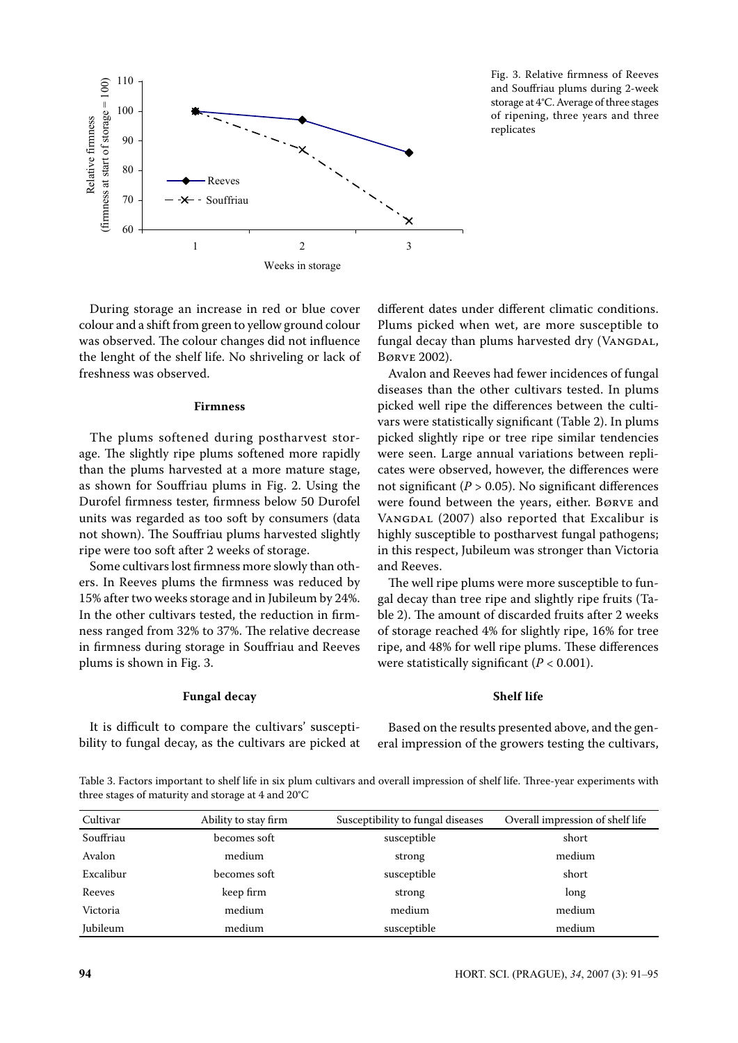

Fig. 3. Relative firmness of Reeves and Souffriau plums during 2-week storage at 4°C. Average of three stages of ripening, three years and three replicates

During storage an increase in red or blue cover di colour and a shift from green to yellow ground colour was observed. The colour changes did not influence the lenght of the shelf life. No shriveling or lack of freshness was observed.

#### **Firmness**

The plums softened during postharvest storage. The slightly ripe plums softened more rapidly than the plums harvested at a more mature stage, as shown for Souffriau plums in Fig. 2. Using the Durofel firmness tester, firmness below 50 Durofel units was regarded as too soft by consumers (data not shown). The Souffriau plums harvested slightly ripe were too soft after 2 weeks of storage.

Some cultivars lost firmness more slowly than others. In Reeves plums the firmness was reduced by 15% after two weeks storage and in Jubileum by 24%. In the other cultivars tested, the reduction in firmness ranged from 32% to 37%. The relative decrease in firmness during storage in Souffriau and Reeves plums is shown in Fig. 3.

### **Fungal decay**

It is difficult to compare the cultivars' susceptibility to fungal decay, as the cultivars are picked at different dates under different climatic conditions. Plums picked when wet, are more susceptible to fungal decay than plums harvested dry (VANGDAL, Børve 2002).

Avalon and Reeves had fewer incidences of fungal diseases than the other cultivars tested. In plums picked well ripe the differences between the cultivars were statistically significant (Table 2). In plums picked slightly ripe or tree ripe similar tendencies were seen. Large annual variations between replicates were observed, however, the differences were not significant  $(P > 0.05)$ . No significant differences were found between the years, either. Børve and VANGDAL (2007) also reported that Excalibur is highly susceptible to postharvest fungal pathogens; in this respect, Jubileum was stronger than Victoria and Reeves.

The well ripe plums were more susceptible to fungal decay than tree ripe and slightly ripe fruits (Table 2). The amount of discarded fruits after 2 weeks of storage reached 4% for slightly ripe, 16% for tree ripe, and 48% for well ripe plums. These differences were statistically significant (*P* < 0.001).

## **Shelf life**

Based on the results presented above, and the general impression of the growers testing the cultivars,

Table 3. Factors important to shelf life in six plum cultivars and overall impression of shelf life. Three-year experiments with three stages of maturity and storage at 4 and 20°C

| Cultivar  | Ability to stay firm | Susceptibility to fungal diseases | Overall impression of shelf life |
|-----------|----------------------|-----------------------------------|----------------------------------|
| Souffriau | becomes soft         | susceptible                       | short                            |
| Avalon    | medium               | strong                            | medium                           |
| Excalibur | becomes soft         | susceptible                       | short                            |
| Reeves    | keep firm            | strong                            | long                             |
| Victoria  | medium               | medium                            | medium                           |
| Jubileum  | medium               | susceptible                       | medium                           |